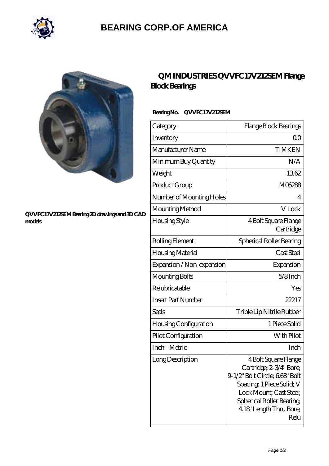

## **[BEARING CORP.OF AMERICA](https://bluemondayreview.com)**



#### **[QVVFC17V212SEM Bearing 2D drawings and 3D CAD](https://bluemondayreview.com/pic-175495.html) [models](https://bluemondayreview.com/pic-175495.html)**

## **[QM INDUSTRIES QVVFC17V212SEM Flange](https://bluemondayreview.com/au-175495-qm-industries-qvvfc17v212sem-flange-block-bearings.html) [Block Bearings](https://bluemondayreview.com/au-175495-qm-industries-qvvfc17v212sem-flange-block-bearings.html)**

### **Bearing No. QVVFC17V212SEM**

| Category                  | Flange Block Bearings                                                                                                                                                                                   |
|---------------------------|---------------------------------------------------------------------------------------------------------------------------------------------------------------------------------------------------------|
| Inventory                 | QΟ                                                                                                                                                                                                      |
| Manufacturer Name         | <b>TIMKEN</b>                                                                                                                                                                                           |
| Minimum Buy Quantity      | N/A                                                                                                                                                                                                     |
| Weight                    | 1362                                                                                                                                                                                                    |
| Product Group             | M06288                                                                                                                                                                                                  |
| Number of Mounting Holes  | 4                                                                                                                                                                                                       |
| Mounting Method           | V Lock                                                                                                                                                                                                  |
| Housing Style             | 4 Bolt Square Flange<br>Cartridge                                                                                                                                                                       |
| Rolling Element           | Spherical Roller Bearing                                                                                                                                                                                |
| Housing Material          | Cast Steel                                                                                                                                                                                              |
| Expansion / Non-expansion | Expansion                                                                                                                                                                                               |
| Mounting Bolts            | $5/8$ Inch                                                                                                                                                                                              |
| Relubricatable            | Yes                                                                                                                                                                                                     |
| <b>Insert Part Number</b> | 22217                                                                                                                                                                                                   |
| Seals                     | Triple Lip Nitrile Rubber                                                                                                                                                                               |
| Housing Configuration     | 1 Piece Solid                                                                                                                                                                                           |
| Pilot Configuration       | With Pilot                                                                                                                                                                                              |
| Inch - Metric             | Inch                                                                                                                                                                                                    |
| Long Description          | 4 Bolt Square Flange<br>Cartridge; 2-3/4" Bore;<br>9-1/2" Bolt Circle; 668" Bolt<br>Spacing, 1 Piece Solid; V<br>Lock Mount; Cast Steel;<br>Spherical Roller Bearing<br>4.18" Length Thru Bore;<br>Relu |